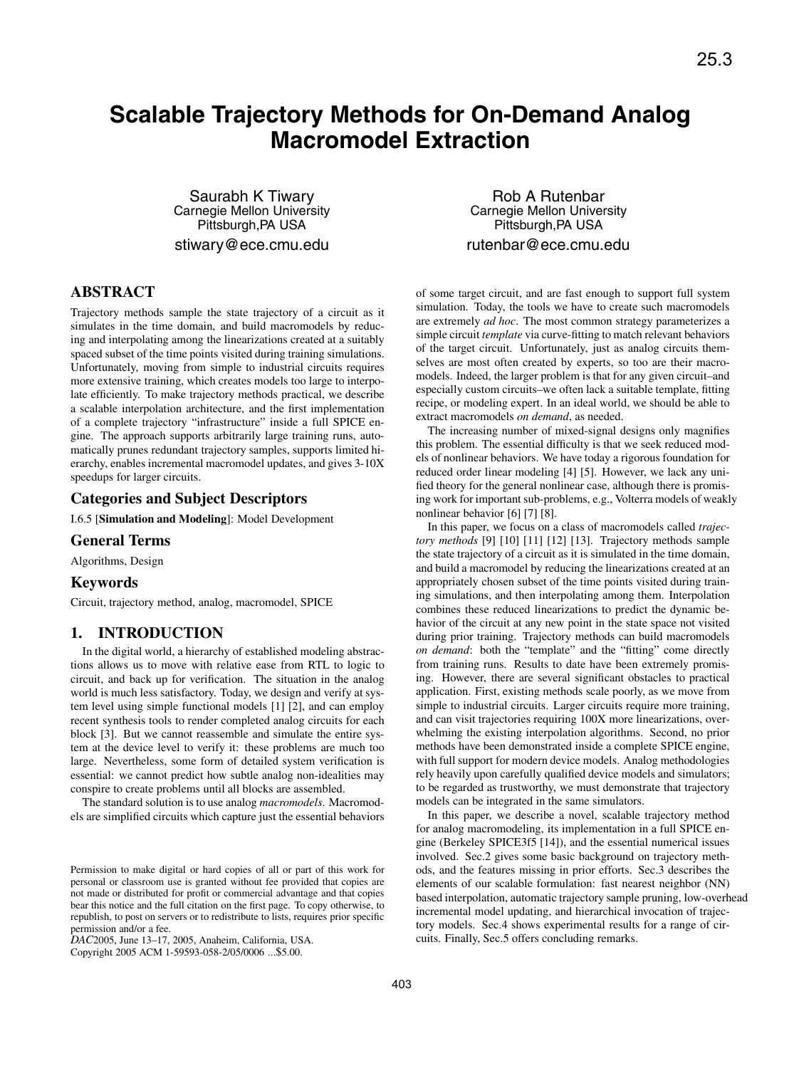# **Scalable Trajectory Methods for On-Demand Analog Macromodel Extraction**

Saurabh K Tiwary Carnegie Mellon University Pittsburgh,PA USA stiwary@ece.cmu.edu

# **ABSTRACT**

Trajectory methods sample the state trajectory of a circuit as it simulates in the time domain, and build macromodels by reducing and interpolating among the linearizations created at a suitably spaced subset of the time points visited during training simulations. Unfortunately, moving from simple to industrial circuits requires more extensive training, which creates models too large to interpolate efficiently. To make trajectory methods practical, we describe a scalable interpolation architecture, and the first implementation of a complete trajectory "infrastructure" inside a full SPICE engine. The approach supports arbitrarily large training runs, automatically prunes redundant trajectory samples, supports limited hierarchy, enables incremental macromodel updates, and gives 3-10X speedups for larger circuits.

## **Categories and Subject Descriptors**

I.6.5 [**Simulation and Modeling**]: Model Development

#### **General Terms**

Algorithms, Design

## **Keywords**

Circuit, trajectory method, analog, macromodel, SPICE

#### **1. INTRODUCTION**

In the digital world, a hierarchy of established modeling abstractions allows us to move with relative ease from RTL to logic to circuit, and back up for verification. The situation in the analog world is much less satisfactory. Today, we design and verify at system level using simple functional models [1] [2], and can employ recent synthesis tools to render completed analog circuits for each block [3]. But we cannot reassemble and simulate the entire system at the device level to verify it: these problems are much too large. Nevertheless, some form of detailed system verification is essential: we cannot predict how subtle analog non-idealities may conspire to create problems until all blocks are assembled.

The standard solution is to use analog *macromodels*. Macromodels are simplified circuits which capture just the essential behaviors

*DAC*2005, June 13–17, 2005, Anaheim, California, USA.

Copyright 2005 ACM 1-59593-058-2/05/0006 ...\$5.00.

Rob A Rutenbar Carnegie Mellon University Pittsburgh,PA USA rutenbar@ece.cmu.edu

of some target circuit, and are fast enough to support full system simulation. Today, the tools we have to create such macromodels are extremely *ad hoc*. The most common strategy parameterizes a simple circuit *template* via curve-fitting to match relevant behaviors of the target circuit. Unfortunately, just as analog circuits themselves are most often created by experts, so too are their macromodels. Indeed, the larger problem is that for any given circuit–and especially custom circuits–we often lack a suitable template, fitting recipe, or modeling expert. In an ideal world, we should be able to extract macromodels *on demand*, as needed.

The increasing number of mixed-signal designs only magnifies this problem. The essential difficulty is that we seek reduced models of nonlinear behaviors. We have today a rigorous foundation for reduced order linear modeling [4] [5]. However, we lack any unified theory for the general nonlinear case, although there is promising work for important sub-problems, e.g., Volterra models of weakly nonlinear behavior [6] [7] [8].

In this paper, we focus on a class of macromodels called *trajectory methods* [9] [10] [11] [12] [13]. Trajectory methods sample the state trajectory of a circuit as it is simulated in the time domain, and build a macromodel by reducing the linearizations created at an appropriately chosen subset of the time points visited during training simulations, and then interpolating among them. Interpolation combines these reduced linearizations to predict the dynamic behavior of the circuit at any new point in the state space not visited during prior training. Trajectory methods can build macromodels *on demand*: both the "template" and the "fitting" come directly from training runs. Results to date have been extremely promising. However, there are several significant obstacles to practical application. First, existing methods scale poorly, as we move from simple to industrial circuits. Larger circuits require more training, and can visit trajectories requiring 100X more linearizations, overwhelming the existing interpolation algorithms. Second, no prior methods have been demonstrated inside a complete SPICE engine, with full support for modern device models. Analog methodologies rely heavily upon carefully qualified device models and simulators; to be regarded as trustworthy, we must demonstrate that trajectory models can be integrated in the same simulators.

In this paper, we describe a novel, scalable trajectory method for analog macromodeling, its implementation in a full SPICE engine (Berkeley SPICE3f5 [14]), and the essential numerical issues involved. Sec.2 gives some basic background on trajectory methods, and the features missing in prior efforts. Sec.3 describes the elements of our scalable formulation: fast nearest neighbor (NN) based interpolation, automatic trajectory sample pruning, low-overhead incremental model updating, and hierarchical invocation of trajectory models. Sec.4 shows experimental results for a range of circuits. Finally, Sec.5 offers concluding remarks.

Permission to make digital or hard copies of all or part of this work for personal or classroom use is granted without fee provided that copies are not made or distributed for profit or commercial advantage and that copies bear this notice and the full citation on the first page. To copy otherwise, to republish, to post on servers or to redistribute to lists, requires prior specific permission and/or a fee.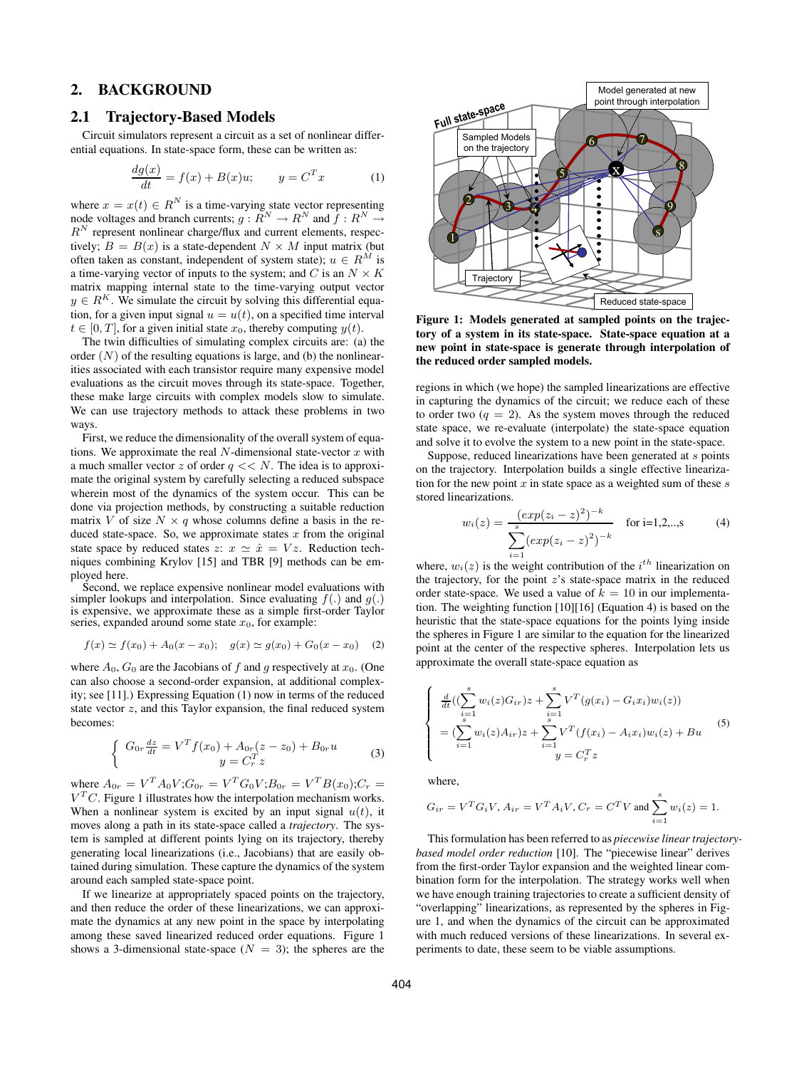## **2. BACKGROUND**

#### **2.1 Trajectory-Based Models**

Circuit simulators represent a circuit as a set of nonlinear differential equations. In state-space form, these can be written as:

$$
\frac{dg(x)}{dt} = f(x) + B(x)u; \qquad y = C^T x \tag{1}
$$

where  $x = x(t) \in R^N$  is a time-varying state vector representing node voltages and branch currents;  $q: \mathbb{R}^N \to \mathbb{R}^N$  and  $\hat{f}: \mathbb{R}^N \to$  $R^N$  represent nonlinear charge/flux and current elements, respectively;  $B = B(x)$  is a state-dependent  $N \times M$  input matrix (but often taken as constant, independent of system state);  $u \in R^M$  is a time-varying vector of inputs to the system; and C is an  $N \times K$ matrix mapping internal state to the time-varying output vector  $y \in R^K$ . We simulate the circuit by solving this differential equation, for a given input signal  $u = u(t)$ , on a specified time interval  $t \in [0, T]$ , for a given initial state  $x_0$ , thereby computing  $y(t)$ .

The twin difficulties of simulating complex circuits are: (a) the order  $(N)$  of the resulting equations is large, and (b) the nonlinearities associated with each transistor require many expensive model evaluations as the circuit moves through its state-space. Together, these make large circuits with complex models slow to simulate. We can use trajectory methods to attack these problems in two ways.

First, we reduce the dimensionality of the overall system of equations. We approximate the real  $N$ -dimensional state-vector  $x$  with a much smaller vector z of order  $q \ll N$ . The idea is to approximate the original system by carefully selecting a reduced subspace wherein most of the dynamics of the system occur. This can be done via projection methods, by constructing a suitable reduction matrix V of size  $N \times q$  whose columns define a basis in the reduced state-space. So, we approximate states  $x$  from the original state space by reduced states z:  $x \approx \hat{x} = Vz$ . Reduction techniques combining Krylov [15] and TBR [9] methods can be employed here.

Second, we replace expensive nonlinear model evaluations with simpler lookups and interpolation. Since evaluating  $f(.)$  and  $g(.)$ is expensive, we approximate these as a simple first-order Taylor series, expanded around some state  $x_0$ , for example:

$$
f(x) \simeq f(x_0) + A_0(x - x_0); \quad g(x) \simeq g(x_0) + G_0(x - x_0) \quad (2)
$$

where  $A_0$ ,  $G_0$  are the Jacobians of f and g respectively at  $x_0$ . (One can also choose a second-order expansion, at additional complexity; see [11].) Expressing Equation (1) now in terms of the reduced state vector z, and this Taylor expansion, the final reduced system becomes:

$$
\begin{cases} G_{0r} \frac{dz}{dt} = V^T f(x_0) + A_{0r}(z - z_0) + B_{0r} u \\ y = C_r^T z \end{cases}
$$
 (3)

where  $A_{0r} = V^T A_0 V$ ;  $G_{0r} = V^T G_0 V$ ;  $B_{0r} = V^T B(x_0)$ ;  $C_r =$  $V^T C$ . Figure 1 illustrates how the interpolation mechanism works. When a nonlinear system is excited by an input signal  $u(t)$ , it moves along a path in its state-space called a *trajectory*. The system is sampled at different points lying on its trajectory, thereby generating local linearizations (i.e., Jacobians) that are easily obtained during simulation. These capture the dynamics of the system around each sampled state-space point.

If we linearize at appropriately spaced points on the trajectory, and then reduce the order of these linearizations, we can approximate the dynamics at any new point in the space by interpolating among these saved linearized reduced order equations. Figure 1 shows a 3-dimensional state-space  $(N = 3)$ ; the spheres are the



**Figure 1: Models generated at sampled points on the trajectory of a system in its state-space. State-space equation at a new point in state-space is generate through interpolation of the reduced order sampled models.**

regions in which (we hope) the sampled linearizations are effective in capturing the dynamics of the circuit; we reduce each of these to order two  $(q = 2)$ . As the system moves through the reduced state space, we re-evaluate (interpolate) the state-space equation and solve it to evolve the system to a new point in the state-space.

Suppose, reduced linearizations have been generated at s points on the trajectory. Interpolation builds a single effective linearization for the new point  $x$  in state space as a weighted sum of these  $s$ stored linearizations.

$$
w_i(z) = \frac{(exp(z_i - z)^2)^{-k}}{\sum_{i=1}^{s} (exp(z_i - z)^2)^{-k}} \quad \text{for i=1,2,..,s} \tag{4}
$$

where,  $w_i(z)$  is the weight contribution of the *i*<sup>th</sup> linearization on the trajectory, for the point  $z$ 's state-space matrix in the reduced order state-space. We used a value of  $k = 10$  in our implementation. The weighting function [10][16] (Equation 4) is based on the heuristic that the state-space equations for the points lying inside the spheres in Figure 1 are similar to the equation for the linearized point at the center of the respective spheres. Interpolation lets us approximate the overall state-space equation as

$$
\begin{cases}\n\frac{d}{dt} \left( (\sum_{i=1}^{s} w_i(z) G_{ir}) z + \sum_{i=1}^{s} V^T (g(x_i) - G_i x_i) w_i(z) \right) \\
= (\sum_{i=1}^{s} w_i(z) A_{ir}) z + \sum_{i=1}^{s} V^T (f(x_i) - A_i x_i) w_i(z) + Bu \\
y = C_r^T z\n\end{cases}
$$
\n(5)

where,

$$
G_{ir}=V^T G_i V, \, A_{ir}=V^T A_i V, \, C_r=C^T V \text{ and } \sum_{i=1}^s w_i(z)=1.
$$

This formulation has been referred to as *piecewise linear trajectorybased model order reduction* [10]. The "piecewise linear" derives from the first-order Taylor expansion and the weighted linear combination form for the interpolation. The strategy works well when we have enough training trajectories to create a sufficient density of "overlapping" linearizations, as represented by the spheres in Figure 1, and when the dynamics of the circuit can be approximated with much reduced versions of these linearizations. In several experiments to date, these seem to be viable assumptions.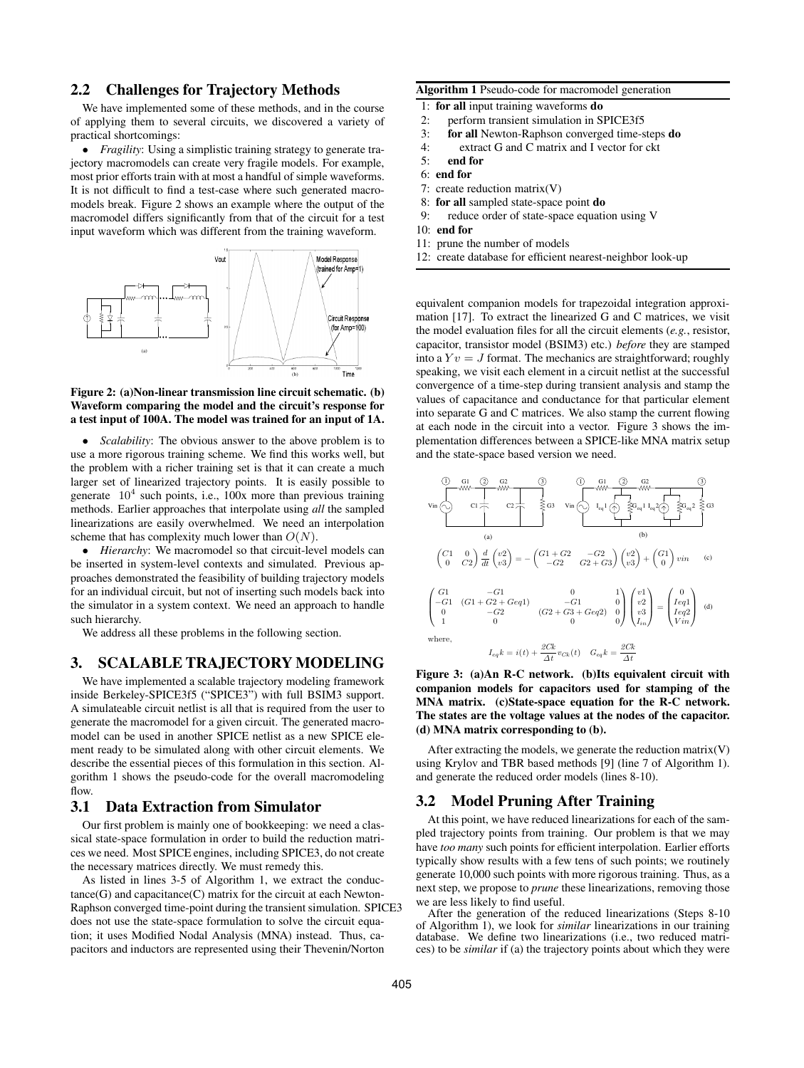## **2.2 Challenges for Trajectory Methods**

We have implemented some of these methods, and in the course of applying them to several circuits, we discovered a variety of practical shortcomings:

• *Fragility*: Using a simplistic training strategy to generate trajectory macromodels can create very fragile models. For example, most prior efforts train with at most a handful of simple waveforms. It is not difficult to find a test-case where such generated macromodels break. Figure 2 shows an example where the output of the macromodel differs significantly from that of the circuit for a test input waveform which was different from the training waveform.



**Figure 2: (a)Non-linear transmission line circuit schematic. (b) Waveform comparing the model and the circuit's response for a test input of 100A. The model was trained for an input of 1A.**

• *Scalability*: The obvious answer to the above problem is to use a more rigorous training scheme. We find this works well, but the problem with a richer training set is that it can create a much larger set of linearized trajectory points. It is easily possible to generate  $10^4$  such points, i.e., 100x more than previous training methods. Earlier approaches that interpolate using *all* the sampled linearizations are easily overwhelmed. We need an interpolation scheme that has complexity much lower than  $O(N)$ .

• *Hierarchy*: We macromodel so that circuit-level models can be inserted in system-level contexts and simulated. Previous approaches demonstrated the feasibility of building trajectory models for an individual circuit, but not of inserting such models back into the simulator in a system context. We need an approach to handle such hierarchy.

We address all these problems in the following section.

## **3. SCALABLE TRAJECTORY MODELING**

We have implemented a scalable trajectory modeling framework inside Berkeley-SPICE3f5 ("SPICE3") with full BSIM3 support. A simulateable circuit netlist is all that is required from the user to generate the macromodel for a given circuit. The generated macromodel can be used in another SPICE netlist as a new SPICE element ready to be simulated along with other circuit elements. We describe the essential pieces of this formulation in this section. Algorithm 1 shows the pseudo-code for the overall macromodeling flow.

#### **3.1 Data Extraction from Simulator**

Our first problem is mainly one of bookkeeping: we need a classical state-space formulation in order to build the reduction matrices we need. Most SPICE engines, including SPICE3, do not create the necessary matrices directly. We must remedy this.

As listed in lines 3-5 of Algorithm 1, we extract the conduc $tance(G)$  and capacitance $(C)$  matrix for the circuit at each Newton-Raphson converged time-point during the transient simulation. SPICE3 does not use the state-space formulation to solve the circuit equation; it uses Modified Nodal Analysis (MNA) instead. Thus, capacitors and inductors are represented using their Thevenin/Norton

#### **Algorithm 1** Pseudo-code for macromodel generation

- 1: **for all** input training waveforms **do**
- 2: perform transient simulation in SPICE3f5
- 3: **for all** Newton-Raphson converged time-steps **do**
- 4: extract G and C matrix and I vector for ckt
- 5: **end for**
- 6: **end for**
- 7: create reduction matrix(V)
- 8: **for all** sampled state-space point **do**
- reduce order of state-space equation using V
- 10: **end for**
- 11: prune the number of models
- 12: create database for efficient nearest-neighbor look-up

equivalent companion models for trapezoidal integration approximation [17]. To extract the linearized G and C matrices, we visit the model evaluation files for all the circuit elements (*e.g.*, resistor, capacitor, transistor model (BSIM3) etc.) *before* they are stamped into a  $Yv = J$  format. The mechanics are straightforward; roughly speaking, we visit each element in a circuit netlist at the successful convergence of a time-step during transient analysis and stamp the values of capacitance and conductance for that particular element into separate G and C matrices. We also stamp the current flowing at each node in the circuit into a vector. Figure 3 shows the implementation differences between a SPICE-like MNA matrix setup and the state-space based version we need.



**Figure 3: (a)An R-C network. (b)Its equivalent circuit with companion models for capacitors used for stamping of the MNA matrix. (c)State-space equation for the R-C network. The states are the voltage values at the nodes of the capacitor. (d) MNA matrix corresponding to (b).**

After extracting the models, we generate the reduction matrix $(V)$ using Krylov and TBR based methods [9] (line 7 of Algorithm 1). and generate the reduced order models (lines 8-10).

## **3.2 Model Pruning After Training**

At this point, we have reduced linearizations for each of the sampled trajectory points from training. Our problem is that we may have *too many* such points for efficient interpolation. Earlier efforts typically show results with a few tens of such points; we routinely generate 10,000 such points with more rigorous training. Thus, as a next step, we propose to *prune* these linearizations, removing those we are less likely to find useful.

After the generation of the reduced linearizations (Steps 8-10 of Algorithm 1), we look for *similar* linearizations in our training database. We define two linearizations (i.e., two reduced matrices) to be *similar* if (a) the trajectory points about which they were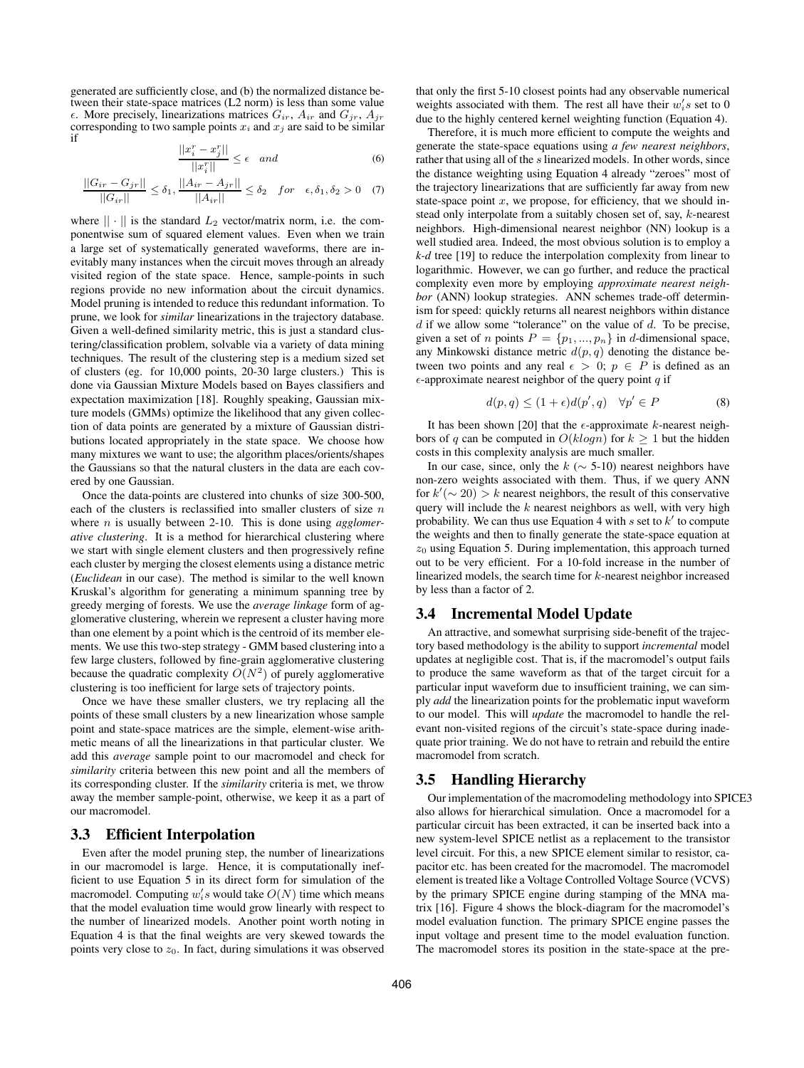generated are sufficiently close, and (b) the normalized distance between their state-space matrices (L2 norm) is less than some value  $\epsilon$ . More precisely, linearizations matrices  $G_{ir}$ ,  $A_{ir}$  and  $G_{jr}$ ,  $A_{jr}$ corresponding to two sample points  $x_i$  and  $x_j$  are said to be similar if

$$
\frac{||x_i^r - x_j^r||}{||x_i^r||} \le \epsilon \quad and \tag{6}
$$

$$
\frac{||G_{ir} - G_{jr}||}{||G_{ir}||} \le \delta_1, \frac{||A_{ir} - A_{jr}||}{||A_{ir}||} \le \delta_2 \quad for \quad \epsilon, \delta_1, \delta_2 > 0 \quad (7)
$$

where  $|| \cdot ||$  is the standard  $L_2$  vector/matrix norm, i.e. the componentwise sum of squared element values. Even when we train a large set of systematically generated waveforms, there are inevitably many instances when the circuit moves through an already visited region of the state space. Hence, sample-points in such regions provide no new information about the circuit dynamics. Model pruning is intended to reduce this redundant information. To prune, we look for *similar* linearizations in the trajectory database. Given a well-defined similarity metric, this is just a standard clustering/classification problem, solvable via a variety of data mining techniques. The result of the clustering step is a medium sized set of clusters (eg. for 10,000 points, 20-30 large clusters.) This is done via Gaussian Mixture Models based on Bayes classifiers and expectation maximization [18]. Roughly speaking, Gaussian mixture models (GMMs) optimize the likelihood that any given collection of data points are generated by a mixture of Gaussian distributions located appropriately in the state space. We choose how many mixtures we want to use; the algorithm places/orients/shapes the Gaussians so that the natural clusters in the data are each covered by one Gaussian.

Once the data-points are clustered into chunks of size 300-500, each of the clusters is reclassified into smaller clusters of size  $n$ where n is usually between 2-10. This is done using *agglomerative clustering*. It is a method for hierarchical clustering where we start with single element clusters and then progressively refine each cluster by merging the closest elements using a distance metric (*Euclidean* in our case). The method is similar to the well known Kruskal's algorithm for generating a minimum spanning tree by greedy merging of forests. We use the *average linkage* form of agglomerative clustering, wherein we represent a cluster having more than one element by a point which is the centroid of its member elements. We use this two-step strategy - GMM based clustering into a few large clusters, followed by fine-grain agglomerative clustering because the quadratic complexity  $O(N^2)$  of purely agglomerative clustering is too inefficient for large sets of trajectory points.

Once we have these smaller clusters, we try replacing all the points of these small clusters by a new linearization whose sample point and state-space matrices are the simple, element-wise arithmetic means of all the linearizations in that particular cluster. We add this *average* sample point to our macromodel and check for *similarity* criteria between this new point and all the members of its corresponding cluster. If the *similarity* criteria is met, we throw away the member sample-point, otherwise, we keep it as a part of our macromodel.

#### **3.3 Efficient Interpolation**

Even after the model pruning step, the number of linearizations in our macromodel is large. Hence, it is computationally inefficient to use Equation 5 in its direct form for simulation of the macromodel. Computing  $w_i$ 's would take  $O(N)$  time which means that the model evaluation time would grow linearly with respect to the number of linearized models. Another point worth noting in Equation 4 is that the final weights are very skewed towards the points very close to  $z_0$ . In fact, during simulations it was observed

that only the first 5-10 closest points had any observable numerical weights associated with them. The rest all have their  $w_i$ 's set to 0 due to the highly centered kernel weighting function (Equation 4).

Therefore, it is much more efficient to compute the weights and generate the state-space equations using *a few nearest neighbors*, rather that using all of the s linearized models. In other words, since the distance weighting using Equation 4 already "zeroes" most of the trajectory linearizations that are sufficiently far away from new state-space point  $x$ , we propose, for efficiency, that we should instead only interpolate from a suitably chosen set of, say, k-nearest neighbors. High-dimensional nearest neighbor (NN) lookup is a well studied area. Indeed, the most obvious solution is to employ a *k-d* tree [19] to reduce the interpolation complexity from linear to logarithmic. However, we can go further, and reduce the practical complexity even more by employing *approximate nearest neighbor* (ANN) lookup strategies. ANN schemes trade-off determinism for speed: quickly returns all nearest neighbors within distance  $d$  if we allow some "tolerance" on the value of  $d$ . To be precise, given a set of *n* points  $P = \{p_1, ..., p_n\}$  in *d*-dimensional space, any Minkowski distance metric  $d(p, q)$  denoting the distance between two points and any real  $\epsilon > 0$ ;  $p \in P$  is defined as an  $\epsilon$ -approximate nearest neighbor of the query point q if

$$
d(p,q) \le (1+\epsilon)d(p',q) \quad \forall p' \in P \tag{8}
$$

It has been shown [20] that the  $\epsilon$ -approximate k-nearest neighbors of q can be computed in  $O(klog n)$  for  $k \ge 1$  but the hidden costs in this complexity analysis are much smaller.

In our case, since, only the  $k$  ( $\sim$  5-10) nearest neighbors have non-zero weights associated with them. Thus, if we query ANN for  $k'(\sim 20) > k$  nearest neighbors, the result of this conservative query will include the  $k$  nearest neighbors as well, with very high probability. We can thus use Equation 4 with  $s$  set to  $k'$  to compute the weights and then to finally generate the state-space equation at  $z_0$  using Equation 5. During implementation, this approach turned out to be very efficient. For a 10-fold increase in the number of linearized models, the search time for k-nearest neighbor increased by less than a factor of 2.

## **3.4 Incremental Model Update**

An attractive, and somewhat surprising side-benefit of the trajectory based methodology is the ability to support *incremental* model updates at negligible cost. That is, if the macromodel's output fails to produce the same waveform as that of the target circuit for a particular input waveform due to insufficient training, we can simply *add* the linearization points for the problematic input waveform to our model. This will *update* the macromodel to handle the relevant non-visited regions of the circuit's state-space during inadequate prior training. We do not have to retrain and rebuild the entire macromodel from scratch.

## **3.5 Handling Hierarchy**

Our implementation of the macromodeling methodology into SPICE3 also allows for hierarchical simulation. Once a macromodel for a particular circuit has been extracted, it can be inserted back into a new system-level SPICE netlist as a replacement to the transistor level circuit. For this, a new SPICE element similar to resistor, capacitor etc. has been created for the macromodel. The macromodel element is treated like a Voltage Controlled Voltage Source (VCVS) by the primary SPICE engine during stamping of the MNA matrix [16]. Figure 4 shows the block-diagram for the macromodel's model evaluation function. The primary SPICE engine passes the input voltage and present time to the model evaluation function. The macromodel stores its position in the state-space at the pre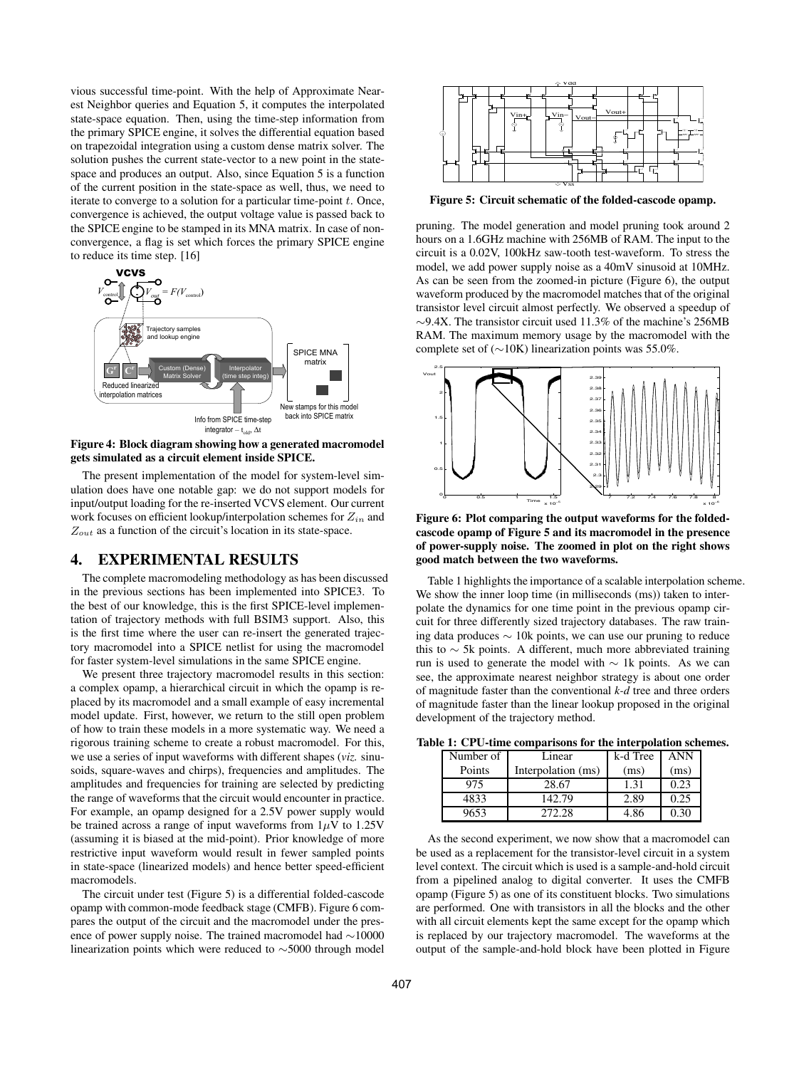vious successful time-point. With the help of Approximate Nearest Neighbor queries and Equation 5, it computes the interpolated state-space equation. Then, using the time-step information from the primary SPICE engine, it solves the differential equation based on trapezoidal integration using a custom dense matrix solver. The solution pushes the current state-vector to a new point in the statespace and produces an output. Also, since Equation 5 is a function of the current position in the state-space as well, thus, we need to iterate to converge to a solution for a particular time-point  $t$ . Once, convergence is achieved, the output voltage value is passed back to the SPICE engine to be stamped in its MNA matrix. In case of nonconvergence, a flag is set which forces the primary SPICE engine to reduce its time step. [16]



**Figure 4: Block diagram showing how a generated macromodel gets simulated as a circuit element inside SPICE.**

The present implementation of the model for system-level simulation does have one notable gap: we do not support models for input/output loading for the re-inserted VCVS element. Our current work focuses on efficient lookup/interpolation schemes for Z*in* and Z*out* as a function of the circuit's location in its state-space.

### **4. EXPERIMENTAL RESULTS**

The complete macromodeling methodology as has been discussed in the previous sections has been implemented into SPICE3. To the best of our knowledge, this is the first SPICE-level implementation of trajectory methods with full BSIM3 support. Also, this is the first time where the user can re-insert the generated trajectory macromodel into a SPICE netlist for using the macromodel for faster system-level simulations in the same SPICE engine.

We present three trajectory macromodel results in this section: a complex opamp, a hierarchical circuit in which the opamp is replaced by its macromodel and a small example of easy incremental model update. First, however, we return to the still open problem of how to train these models in a more systematic way. We need a rigorous training scheme to create a robust macromodel. For this, we use a series of input waveforms with different shapes (*viz.* sinusoids, square-waves and chirps), frequencies and amplitudes. The amplitudes and frequencies for training are selected by predicting the range of waveforms that the circuit would encounter in practice. For example, an opamp designed for a 2.5V power supply would be trained across a range of input waveforms from  $1\mu$ V to 1.25V (assuming it is biased at the mid-point). Prior knowledge of more restrictive input waveform would result in fewer sampled points in state-space (linearized models) and hence better speed-efficient macromodels.

The circuit under test (Figure 5) is a differential folded-cascode opamp with common-mode feedback stage (CMFB). Figure 6 compares the output of the circuit and the macromodel under the presence of power supply noise. The trained macromodel had ∼10000 linearization points which were reduced to ∼5000 through model



**Figure 5: Circuit schematic of the folded-cascode opamp.**

pruning. The model generation and model pruning took around 2 hours on a 1.6GHz machine with 256MB of RAM. The input to the circuit is a 0.02V, 100kHz saw-tooth test-waveform. To stress the model, we add power supply noise as a 40mV sinusoid at 10MHz. As can be seen from the zoomed-in picture (Figure 6), the output waveform produced by the macromodel matches that of the original transistor level circuit almost perfectly. We observed a speedup of ∼9.4X. The transistor circuit used 11.3% of the machine's 256MB RAM. The maximum memory usage by the macromodel with the complete set of (∼10K) linearization points was 55.0%.



**Figure 6: Plot comparing the output waveforms for the foldedcascode opamp of Figure 5 and its macromodel in the presence of power-supply noise. The zoomed in plot on the right shows good match between the two waveforms.**

Table 1 highlights the importance of a scalable interpolation scheme. We show the inner loop time (in milliseconds (ms)) taken to interpolate the dynamics for one time point in the previous opamp circuit for three differently sized trajectory databases. The raw training data produces ∼ 10k points, we can use our pruning to reduce this to  $\sim$  5k points. A different, much more abbreviated training run is used to generate the model with  $\sim 1k$  points. As we can see, the approximate nearest neighbor strategy is about one order of magnitude faster than the conventional *k-d* tree and three orders of magnitude faster than the linear lookup proposed in the original development of the trajectory method.

**Table 1: CPU-time comparisons for the interpolation schemes.**

| Number of | Linear             | k-d Tree | <b>ANN</b> |
|-----------|--------------------|----------|------------|
| Points    | Interpolation (ms) | (ms)     | (ms)       |
| 975       | 28.67              | 1.31     | 0.23       |
| 4833      | 142.79             | 2.89     | 0.25       |
| 9653      | 272.28             | 4.86     | $0.30 -$   |

As the second experiment, we now show that a macromodel can be used as a replacement for the transistor-level circuit in a system level context. The circuit which is used is a sample-and-hold circuit from a pipelined analog to digital converter. It uses the CMFB opamp (Figure 5) as one of its constituent blocks. Two simulations are performed. One with transistors in all the blocks and the other with all circuit elements kept the same except for the opamp which is replaced by our trajectory macromodel. The waveforms at the output of the sample-and-hold block have been plotted in Figure